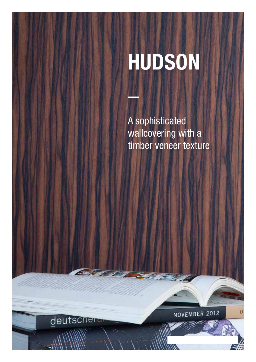# HUDSON

A sophisticated wallcovering with a timber veneer texture

73

deutschera

NOVEMBER 2012

r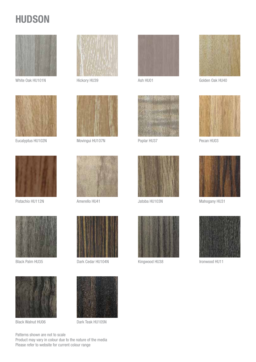## **HUDSON**



White Oak HU101N Hickory HU39



Eucalyptus HU102N Movingui HU107N



Pistachio HU112N Amerello HU41 Jatoba HU103N Mahogany HU31





Black Walnut HU06 Dark Teak HU105N









Black Palm HU35 Dark Cedar HU104N Kingwood HU38 Ironwood HU11







Ash HU01



Golden Oak HU40



Poplar HU37 Pecan HU03





Patterns shown are not to scale Product may vary in colour due to the nature of the media Please refer to website for current colour range